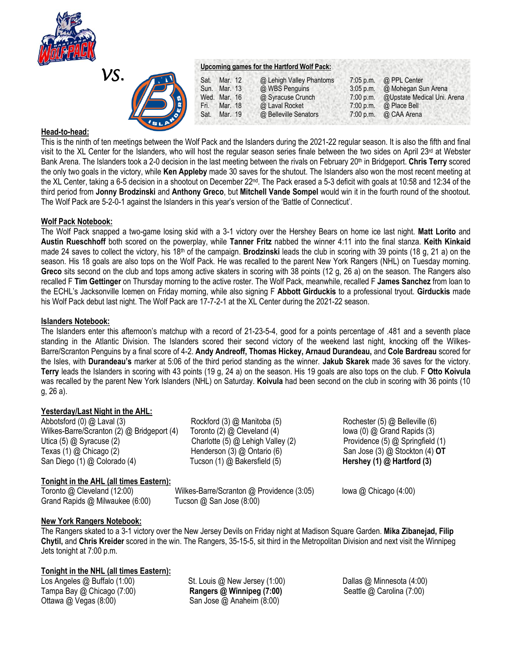

| ↗\ |  |
|----|--|
|    |  |
|    |  |

#### **Upcoming games for the Hartford Wolf Pack:**

| B. | Sat. Mar. 12 |         | @ Lehigh Valley Phantoms | $7:05$ p.m. | @ PPL Center                |
|----|--------------|---------|--------------------------|-------------|-----------------------------|
|    | Sun. Mar. 13 |         | @ WBS Penguins           | $3:05$ p.m. | @ Mohegan Sun Arena         |
|    | Wed. Mar. 16 |         | @ Syracuse Crunch        | 7:00 p.m.   | @Upstate Medical Uni. Arena |
|    | Fri.         | Mar. 18 | @ Laval Rocket           | $7:00$ p.m. | @ Place Bell                |
|    | Sat.         | Mar. 19 | @ Belleville Senators    |             | $7:00$ p.m. @ CAA Arena     |
|    |              |         |                          |             |                             |

## **Head-to-head:**

This is the ninth of ten meetings between the Wolf Pack and the Islanders during the 2021-22 regular season. It is also the fifth and final visit to the XL Center for the Islanders, who will host the regular season series finale between the two sides on April 23rd at Webster Bank Arena. The Islanders took a 2-0 decision in the last meeting between the rivals on February 20th in Bridgeport. **Chris Terry** scored the only two goals in the victory, while **Ken Appleby** made 30 saves for the shutout. The Islanders also won the most recent meeting at the XL Center, taking a 6-5 decision in a shootout on December 22<sup>nd</sup>. The Pack erased a 5-3 deficit with goals at 10:58 and 12:34 of the third period from **Jonny Brodzinski** and **Anthony Greco**, but **Mitchell Vande Sompel** would win it in the fourth round of the shootout. The Wolf Pack are 5-2-0-1 against the Islanders in this year's version of the 'Battle of Connecticut'.

## **Wolf Pack Notebook:**

The Wolf Pack snapped a two-game losing skid with a 3-1 victory over the Hershey Bears on home ice last night. **Matt Lorito** and **Austin Rueschhoff** both scored on the powerplay, while **Tanner Fritz** nabbed the winner 4:11 into the final stanza. **Keith Kinkaid** made 24 saves to collect the victory, his 18th of the campaign. **Brodzinski** leads the club in scoring with 39 points (18 g, 21 a) on the season. His 18 goals are also tops on the Wolf Pack. He was recalled to the parent New York Rangers (NHL) on Tuesday morning. **Greco** sits second on the club and tops among active skaters in scoring with 38 points (12 g, 26 a) on the season. The Rangers also recalled F **Tim Gettinger** on Thursday morning to the active roster. The Wolf Pack, meanwhile, recalled F **James Sanchez** from loan to the ECHL's Jacksonville Icemen on Friday morning, while also signing F **Abbott Girduckis** to a professional tryout. **Girduckis** made his Wolf Pack debut last night. The Wolf Pack are 17-7-2-1 at the XL Center during the 2021-22 season.

## **Islanders Notebook:**

The Islanders enter this afternoon's matchup with a record of 21-23-5-4, good for a points percentage of .481 and a seventh place standing in the Atlantic Division. The Islanders scored their second victory of the weekend last night, knocking off the Wilkes-Barre/Scranton Penguins by a final score of 4-2. **Andy Andreoff, Thomas Hickey, Arnaud Durandeau,** and **Cole Bardreau** scored for the Isles, with **Durandeau's** marker at 5:06 of the third period standing as the winner. **Jakub Skarek** made 36 saves for the victory. **Terry** leads the Islanders in scoring with 43 points (19 g, 24 a) on the season. His 19 goals are also tops on the club. F **Otto Koivula**  was recalled by the parent New York Islanders (NHL) on Saturday. **Koivula** had been second on the club in scoring with 36 points (10 g, 26 a).

# **Yesterday/Last Night in the AHL:**

Abbotsford (0) @ Laval (3) Rockford (3) @ Manitoba (5) Rochester (5) @ Belleville (6) Wilkes-Barre/Scranton (2) @ Bridgeport (4) Toronto (2) @ Cleveland (4) Iowa (0) @ Grand Rapids (3) Utica (5) @ Syracuse (2) Charlotte (5) @ Lehigh Valley (2) Providence (5) @ Springfield (1) Texas (1) @ Chicago (2) Henderson (3) @ Ontario (6) San Jose (3) @ Stockton (4) **OT** San Diego (1) @ Colorado (4) Tucson (1) @ Bakersfield (5) **Hershey (1) @ Hartford (3)** 

# **Tonight in the AHL (all times Eastern):**

Toronto @ Cleveland (12:00) Wilkes-Barre/Scranton @ Providence (3:05) Iowa @ Chicago (4:00) Grand Rapids @ Milwaukee (6:00) Tucson @ San Jose (8:00)

# **New York Rangers Notebook:**

The Rangers skated to a 3-1 victory over the New Jersey Devils on Friday night at Madison Square Garden. **Mika Zibanejad, Filip Chytil,** and **Chris Kreider** scored in the win. The Rangers, 35-15-5, sit third in the Metropolitan Division and next visit the Winnipeg Jets tonight at 7:00 p.m.

# **Tonight in the NHL (all times Eastern):**

Los Angeles @ Buffalo (1:00) **St.** Louis @ New Jersey (1:00) **Dallas @ Minnesota (4:00)** Dallas @ Minnesota (4:00) Tampa Bay @ Chicago (7:00) **Rangers @ Winnipeg (7:00)** Seattle @ Carolina (7:00) Ottawa @ Vegas (8:00) San Jose @ Anaheim (8:00)